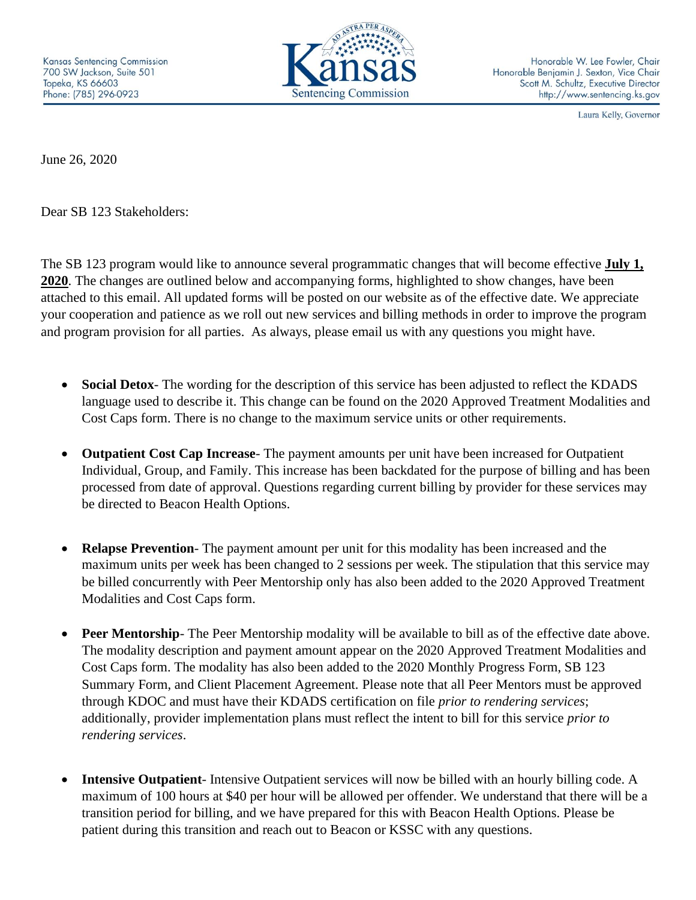

Honorable W. Lee Fowler, Chair Honorable Benjamin J. Sexton, Vice Chair Scott M. Schultz, Executive Director http://www.sentencing.ks.gov

Laura Kelly, Governor

June 26, 2020

Dear SB 123 Stakeholders:

The SB 123 program would like to announce several programmatic changes that will become effective **July 1, 2020**. The changes are outlined below and accompanying forms, highlighted to show changes, have been attached to this email. All updated forms will be posted on our website as of the effective date. We appreciate your cooperation and patience as we roll out new services and billing methods in order to improve the program and program provision for all parties. As always, please email us with any questions you might have.

- **Social Detox** The wording for the description of this service has been adjusted to reflect the KDADS language used to describe it. This change can be found on the 2020 Approved Treatment Modalities and Cost Caps form. There is no change to the maximum service units or other requirements.
- **Outpatient Cost Cap Increase** The payment amounts per unit have been increased for Outpatient Individual, Group, and Family. This increase has been backdated for the purpose of billing and has been processed from date of approval. Questions regarding current billing by provider for these services may be directed to Beacon Health Options.
- **Relapse Prevention** The payment amount per unit for this modality has been increased and the maximum units per week has been changed to 2 sessions per week. The stipulation that this service may be billed concurrently with Peer Mentorship only has also been added to the 2020 Approved Treatment Modalities and Cost Caps form.
- **Peer Mentorship** The Peer Mentorship modality will be available to bill as of the effective date above. The modality description and payment amount appear on the 2020 Approved Treatment Modalities and Cost Caps form. The modality has also been added to the 2020 Monthly Progress Form, SB 123 Summary Form, and Client Placement Agreement. Please note that all Peer Mentors must be approved through KDOC and must have their KDADS certification on file *prior to rendering services*; additionally, provider implementation plans must reflect the intent to bill for this service *prior to rendering services*.
- **Intensive Outpatient** Intensive Outpatient services will now be billed with an hourly billing code. A maximum of 100 hours at \$40 per hour will be allowed per offender. We understand that there will be a transition period for billing, and we have prepared for this with Beacon Health Options. Please be patient during this transition and reach out to Beacon or KSSC with any questions.